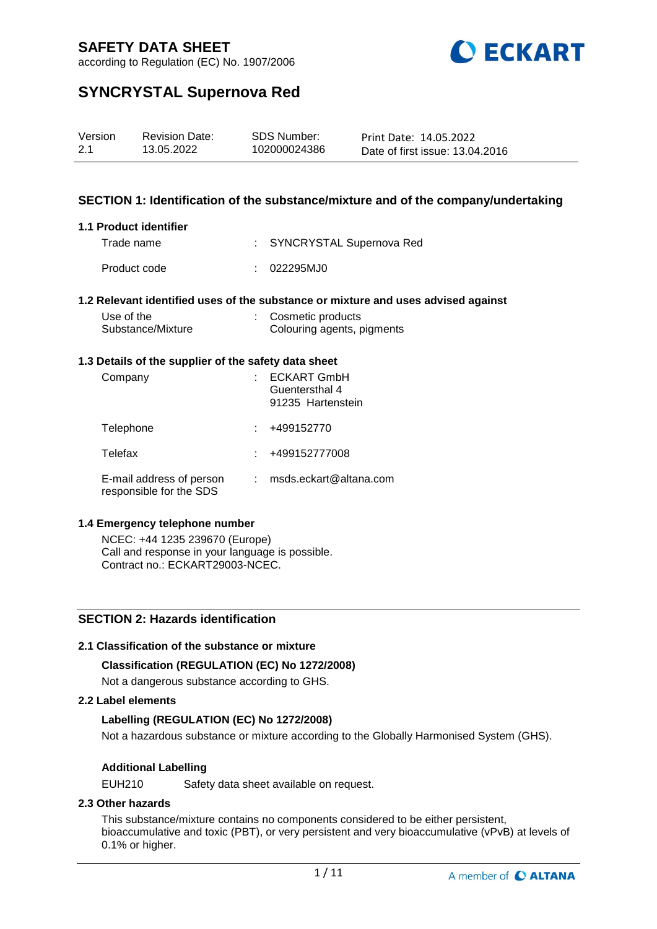

according to Regulation (EC) No. 1907/2006

## **SYNCRYSTAL Supernova Red**

| Version | <b>Revision Date:</b> | SDS Number:  | Print Date: 14.05.2022          |
|---------|-----------------------|--------------|---------------------------------|
| 2.1     | 13.05.2022            | 102000024386 | Date of first issue: 13.04.2016 |

### **SECTION 1: Identification of the substance/mixture and of the company/undertaking**

#### **1.1 Product identifier**

| Trade name   | : SYNCRYSTAL Supernova Red |
|--------------|----------------------------|
| Product code | :: 022295MJ0               |

### **1.2 Relevant identified uses of the substance or mixture and uses advised against**

| Use of the        | Cosmetic products          |
|-------------------|----------------------------|
| Substance/Mixture | Colouring agents, pigments |

#### **1.3 Details of the supplier of the safety data sheet**

| Company                                             | <b>ECKART GmbH</b><br>Guentersthal 4<br>91235 Hartenstein |
|-----------------------------------------------------|-----------------------------------------------------------|
| Telephone                                           | +499152770                                                |
| Telefax                                             | +499152777008                                             |
| E-mail address of person<br>responsible for the SDS | msds.eckart@altana.com                                    |

### **1.4 Emergency telephone number**

NCEC: +44 1235 239670 (Europe) Call and response in your language is possible. Contract no.: ECKART29003-NCEC.

### **SECTION 2: Hazards identification**

### **2.1 Classification of the substance or mixture**

### **Classification (REGULATION (EC) No 1272/2008)**

Not a dangerous substance according to GHS.

### **2.2 Label elements**

### **Labelling (REGULATION (EC) No 1272/2008)**

Not a hazardous substance or mixture according to the Globally Harmonised System (GHS).

### **Additional Labelling**

EUH210 Safety data sheet available on request.

### **2.3 Other hazards**

This substance/mixture contains no components considered to be either persistent, bioaccumulative and toxic (PBT), or very persistent and very bioaccumulative (vPvB) at levels of 0.1% or higher.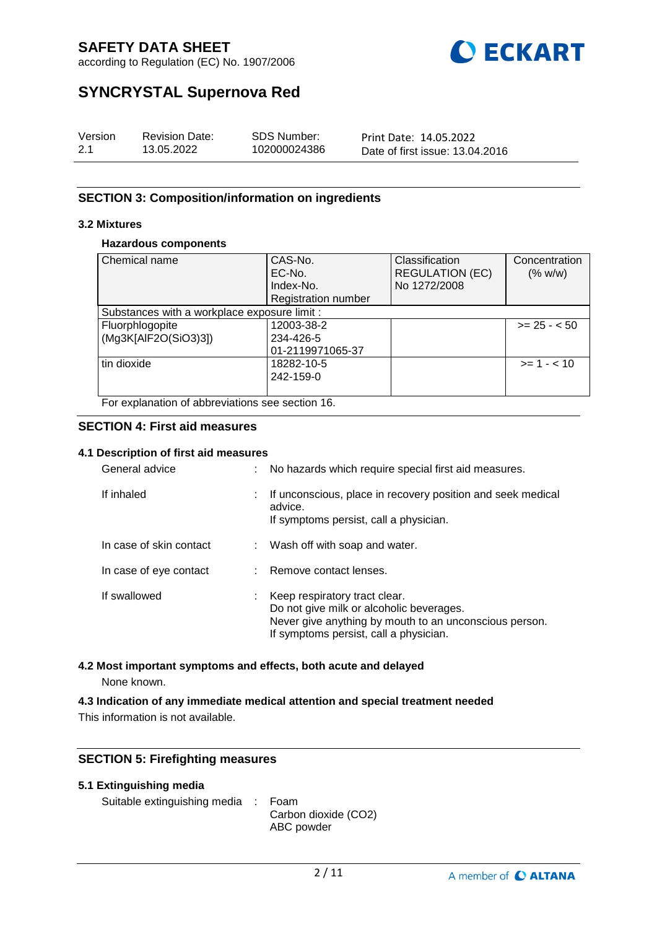

according to Regulation (EC) No. 1907/2006

## **SYNCRYSTAL Supernova Red**

| Version | <b>Revision Date:</b> | SDS Number:  | Print Date: 14.05.2022          |
|---------|-----------------------|--------------|---------------------------------|
| 2.1     | 13.05.2022            | 102000024386 | Date of first issue: 13.04.2016 |

### **SECTION 3: Composition/information on ingredients**

### **3.2 Mixtures**

### **Hazardous components**

| Chemical name                                    | CAS-No.<br>EC-No.<br>Index-No. | Classification<br><b>REGULATION (EC)</b><br>No 1272/2008 | Concentration<br>(% w/w) |  |
|--------------------------------------------------|--------------------------------|----------------------------------------------------------|--------------------------|--|
|                                                  | Registration number            |                                                          |                          |  |
| Substances with a workplace exposure limit :     |                                |                                                          |                          |  |
| Fluorphlogopite                                  | 12003-38-2                     |                                                          | $>= 25 - 50$             |  |
| (Mg3K[AlF2O(SiO3)3])                             | 234-426-5                      |                                                          |                          |  |
|                                                  | 01-2119971065-37               |                                                          |                          |  |
| tin dioxide                                      | 18282-10-5                     |                                                          | $>= 1 - 10$              |  |
|                                                  | 242-159-0                      |                                                          |                          |  |
|                                                  |                                |                                                          |                          |  |
| For explanation of abbreviations see section 16. |                                |                                                          |                          |  |

#### **SECTION 4: First aid measures**

### **4.1 Description of first aid measures**

| General advice          | t. | No hazards which require special first aid measures.                                                                                                                          |
|-------------------------|----|-------------------------------------------------------------------------------------------------------------------------------------------------------------------------------|
| If inhaled              | t. | If unconscious, place in recovery position and seek medical<br>advice.<br>If symptoms persist, call a physician.                                                              |
| In case of skin contact |    | : Wash off with soap and water.                                                                                                                                               |
| In case of eye contact  |    | : Remove contact lenses.                                                                                                                                                      |
| If swallowed            | t. | Keep respiratory tract clear.<br>Do not give milk or alcoholic beverages.<br>Never give anything by mouth to an unconscious person.<br>If symptoms persist, call a physician. |

### **4.2 Most important symptoms and effects, both acute and delayed** None known.

### **4.3 Indication of any immediate medical attention and special treatment needed**

This information is not available.

### **SECTION 5: Firefighting measures**

|  | 5.1 Extinguishing media |  |
|--|-------------------------|--|
|--|-------------------------|--|

```
Suitable extinguishing media : Foam
```
Carbon dioxide (CO2) ABC powder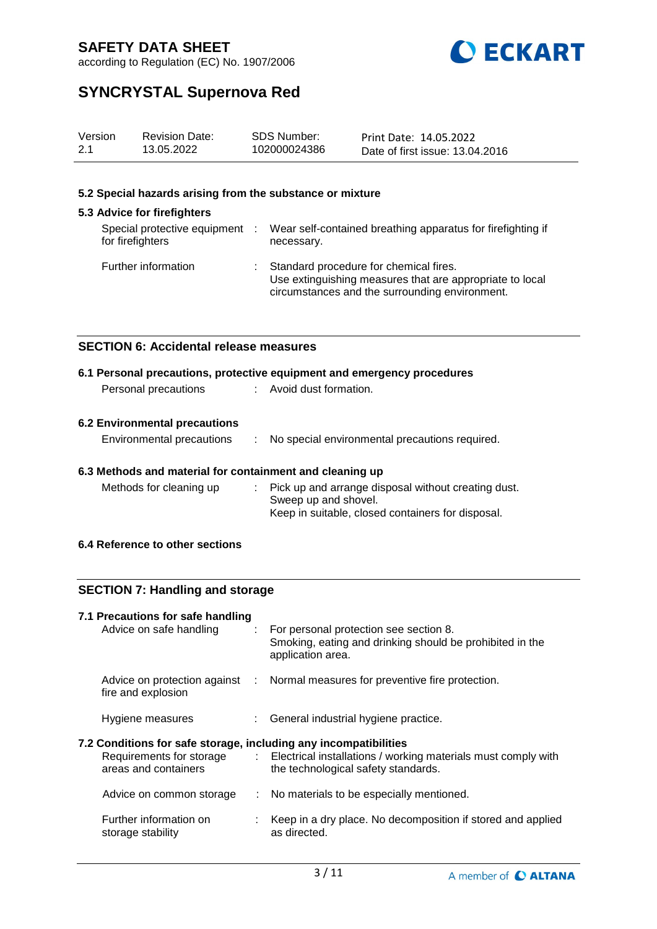

according to Regulation (EC) No. 1907/2006

## **SYNCRYSTAL Supernova Red**

| Version | <b>Revision Date:</b> | SDS Number:  | Print Date: 14.05.2022          |
|---------|-----------------------|--------------|---------------------------------|
| 2.1     | 13.05.2022            | 102000024386 | Date of first issue: 13.04.2016 |

### **5.2 Special hazards arising from the substance or mixture**

### **5.3 Advice for firefighters**

| Special protective equipment :<br>for firefighters | Wear self-contained breathing apparatus for firefighting if<br>necessary.                                                                            |
|----------------------------------------------------|------------------------------------------------------------------------------------------------------------------------------------------------------|
| Further information                                | Standard procedure for chemical fires.<br>Use extinguishing measures that are appropriate to local<br>circumstances and the surrounding environment. |

### **SECTION 6: Accidental release measures**

|                      | 6.1 Personal precautions, protective equipment and emergency procedures |
|----------------------|-------------------------------------------------------------------------|
| Personal precautions | : Avoid dust formation.                                                 |
|                      |                                                                         |

### **6.2 Environmental precautions**

| Environmental precautions |  | No special environmental precautions required. |
|---------------------------|--|------------------------------------------------|
|---------------------------|--|------------------------------------------------|

### **6.3 Methods and material for containment and cleaning up**

| Methods for cleaning up | : Pick up and arrange disposal without creating dust. |
|-------------------------|-------------------------------------------------------|
|                         | Sweep up and shovel.                                  |
|                         | Keep in suitable, closed containers for disposal.     |

### **6.4 Reference to other sections**

## **SECTION 7: Handling and storage**

| 7.1 Precautions for safe handling<br>Advice on safe handling     | : For personal protection see section 8.<br>Smoking, eating and drinking should be prohibited in the<br>application area.       |
|------------------------------------------------------------------|---------------------------------------------------------------------------------------------------------------------------------|
| fire and explosion                                               | Advice on protection against : Normal measures for preventive fire protection.                                                  |
| Hygiene measures                                                 | : General industrial hygiene practice.                                                                                          |
| 7.2 Conditions for safe storage, including any incompatibilities |                                                                                                                                 |
| areas and containers                                             | Requirements for storage : Electrical installations / working materials must comply with<br>the technological safety standards. |
| Advice on common storage                                         | : No materials to be especially mentioned.                                                                                      |
| Further information on<br>storage stability                      | : Keep in a dry place. No decomposition if stored and applied<br>as directed.                                                   |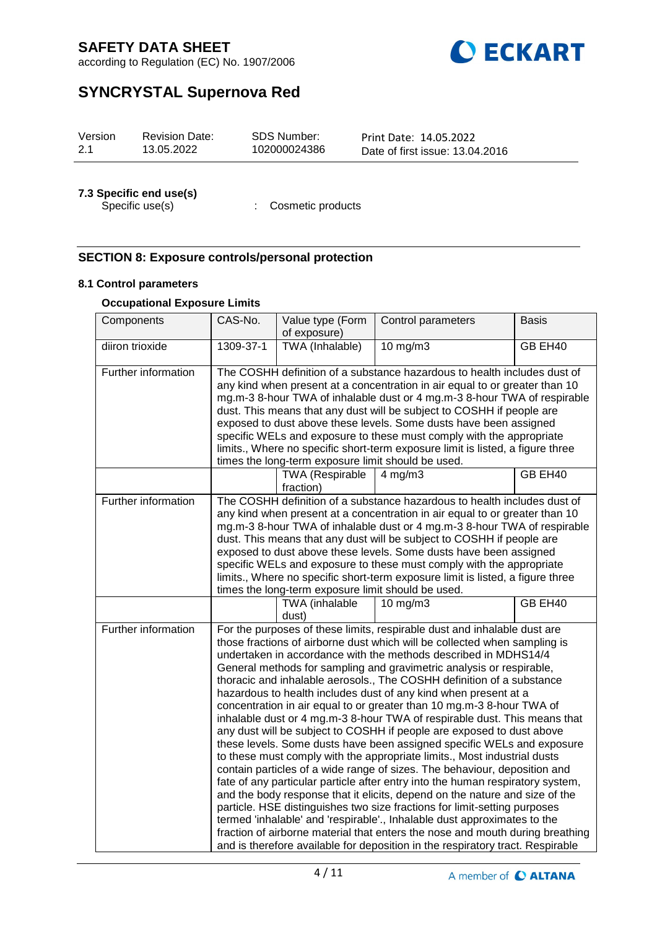

according to Regulation (EC) No. 1907/2006

## **SYNCRYSTAL Supernova Red**

| Version | <b>Revision Date:</b> | SDS Number:  | Print Date: 14.05.2022          |
|---------|-----------------------|--------------|---------------------------------|
| 2.1     | 13.05.2022            | 102000024386 | Date of first issue: 13.04.2016 |

# **7.3 Specific end use(s)**

: Cosmetic products

### **SECTION 8: Exposure controls/personal protection**

### **8.1 Control parameters**

### **Occupational Exposure Limits**

| Components          | CAS-No.   | Value type (Form<br>of exposure)                   | Control parameters                                                                                                                                                                                                                                                                                                                                                                                                                                                                                                                                                                                                                                                                                                                                                                                                                                                                                                                                                                                                                                                                                                                                                                                                                                                                                                                                                                                          | <b>Basis</b> |
|---------------------|-----------|----------------------------------------------------|-------------------------------------------------------------------------------------------------------------------------------------------------------------------------------------------------------------------------------------------------------------------------------------------------------------------------------------------------------------------------------------------------------------------------------------------------------------------------------------------------------------------------------------------------------------------------------------------------------------------------------------------------------------------------------------------------------------------------------------------------------------------------------------------------------------------------------------------------------------------------------------------------------------------------------------------------------------------------------------------------------------------------------------------------------------------------------------------------------------------------------------------------------------------------------------------------------------------------------------------------------------------------------------------------------------------------------------------------------------------------------------------------------------|--------------|
| diiron trioxide     | 1309-37-1 | TWA (Inhalable)                                    | $10$ mg/m $3$                                                                                                                                                                                                                                                                                                                                                                                                                                                                                                                                                                                                                                                                                                                                                                                                                                                                                                                                                                                                                                                                                                                                                                                                                                                                                                                                                                                               | GB EH40      |
| Further information |           | times the long-term exposure limit should be used. | The COSHH definition of a substance hazardous to health includes dust of<br>any kind when present at a concentration in air equal to or greater than 10<br>mg.m-3 8-hour TWA of inhalable dust or 4 mg.m-3 8-hour TWA of respirable<br>dust. This means that any dust will be subject to COSHH if people are<br>exposed to dust above these levels. Some dusts have been assigned<br>specific WELs and exposure to these must comply with the appropriate<br>limits., Where no specific short-term exposure limit is listed, a figure three                                                                                                                                                                                                                                                                                                                                                                                                                                                                                                                                                                                                                                                                                                                                                                                                                                                                 |              |
|                     |           | <b>TWA (Respirable</b><br>fraction)                | $4$ mg/m $3$                                                                                                                                                                                                                                                                                                                                                                                                                                                                                                                                                                                                                                                                                                                                                                                                                                                                                                                                                                                                                                                                                                                                                                                                                                                                                                                                                                                                | GB EH40      |
| Further information |           | times the long-term exposure limit should be used. | The COSHH definition of a substance hazardous to health includes dust of<br>any kind when present at a concentration in air equal to or greater than 10<br>mg.m-3 8-hour TWA of inhalable dust or 4 mg.m-3 8-hour TWA of respirable<br>dust. This means that any dust will be subject to COSHH if people are<br>exposed to dust above these levels. Some dusts have been assigned<br>specific WELs and exposure to these must comply with the appropriate<br>limits., Where no specific short-term exposure limit is listed, a figure three                                                                                                                                                                                                                                                                                                                                                                                                                                                                                                                                                                                                                                                                                                                                                                                                                                                                 |              |
|                     |           | TWA (inhalable<br>dust)                            | $10 \text{ mg/m}$ 3                                                                                                                                                                                                                                                                                                                                                                                                                                                                                                                                                                                                                                                                                                                                                                                                                                                                                                                                                                                                                                                                                                                                                                                                                                                                                                                                                                                         | GB EH40      |
| Further information |           |                                                    | For the purposes of these limits, respirable dust and inhalable dust are<br>those fractions of airborne dust which will be collected when sampling is<br>undertaken in accordance with the methods described in MDHS14/4<br>General methods for sampling and gravimetric analysis or respirable,<br>thoracic and inhalable aerosols., The COSHH definition of a substance<br>hazardous to health includes dust of any kind when present at a<br>concentration in air equal to or greater than 10 mg.m-3 8-hour TWA of<br>inhalable dust or 4 mg.m-3 8-hour TWA of respirable dust. This means that<br>any dust will be subject to COSHH if people are exposed to dust above<br>these levels. Some dusts have been assigned specific WELs and exposure<br>to these must comply with the appropriate limits., Most industrial dusts<br>contain particles of a wide range of sizes. The behaviour, deposition and<br>fate of any particular particle after entry into the human respiratory system,<br>and the body response that it elicits, depend on the nature and size of the<br>particle. HSE distinguishes two size fractions for limit-setting purposes<br>termed 'inhalable' and 'respirable'., Inhalable dust approximates to the<br>fraction of airborne material that enters the nose and mouth during breathing<br>and is therefore available for deposition in the respiratory tract. Respirable |              |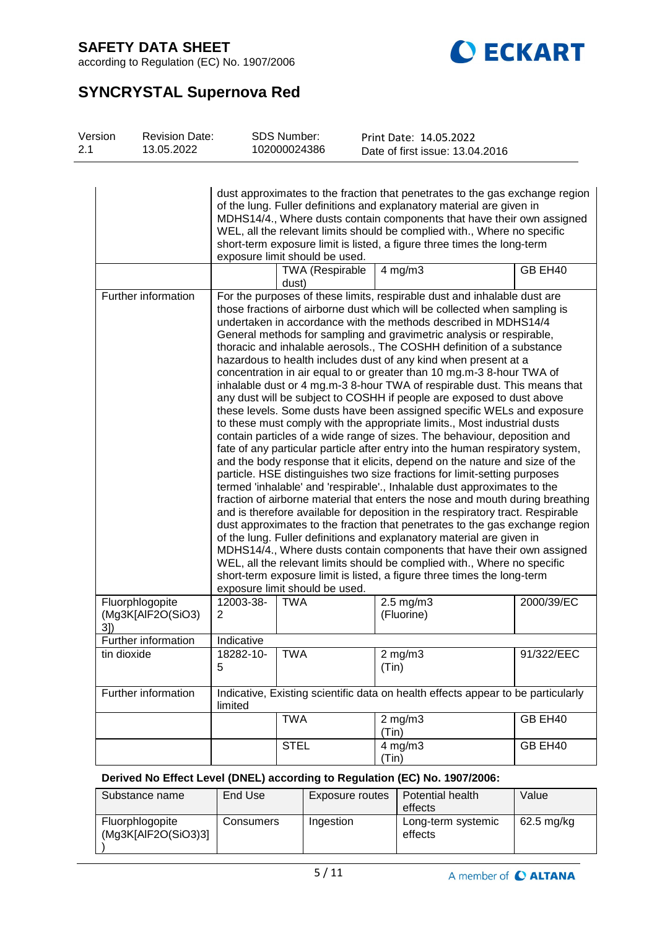

according to Regulation (EC) No. 1907/2006

## **SYNCRYSTAL Supernova Red**

| Version<br>2.1 | <b>Revision Date:</b><br>13.05.2022  |                | <b>SDS Number:</b><br>102000024386 | Print Date: 14.05.2022<br>Date of first issue: 13.04.2016                                                                                                                                                                                                                                                                                                                                                                                                                                                                                                                                                                                                                                                                                                                                                                                                                                                                                                                                                                                                                                                                                                                                                                                                                                                                                                                                                                                                                                                                                                                                                                                                                                                                                                                                             |            |
|----------------|--------------------------------------|----------------|------------------------------------|-------------------------------------------------------------------------------------------------------------------------------------------------------------------------------------------------------------------------------------------------------------------------------------------------------------------------------------------------------------------------------------------------------------------------------------------------------------------------------------------------------------------------------------------------------------------------------------------------------------------------------------------------------------------------------------------------------------------------------------------------------------------------------------------------------------------------------------------------------------------------------------------------------------------------------------------------------------------------------------------------------------------------------------------------------------------------------------------------------------------------------------------------------------------------------------------------------------------------------------------------------------------------------------------------------------------------------------------------------------------------------------------------------------------------------------------------------------------------------------------------------------------------------------------------------------------------------------------------------------------------------------------------------------------------------------------------------------------------------------------------------------------------------------------------------|------------|
|                |                                      |                | exposure limit should be used.     | dust approximates to the fraction that penetrates to the gas exchange region<br>of the lung. Fuller definitions and explanatory material are given in<br>MDHS14/4., Where dusts contain components that have their own assigned<br>WEL, all the relevant limits should be complied with., Where no specific<br>short-term exposure limit is listed, a figure three times the long-term                                                                                                                                                                                                                                                                                                                                                                                                                                                                                                                                                                                                                                                                                                                                                                                                                                                                                                                                                                                                                                                                                                                                                                                                                                                                                                                                                                                                                |            |
|                |                                      |                | <b>TWA (Respirable</b><br>dust)    | $4$ mg/m $3$                                                                                                                                                                                                                                                                                                                                                                                                                                                                                                                                                                                                                                                                                                                                                                                                                                                                                                                                                                                                                                                                                                                                                                                                                                                                                                                                                                                                                                                                                                                                                                                                                                                                                                                                                                                          | GB EH40    |
|                | Further information                  |                | exposure limit should be used.     | For the purposes of these limits, respirable dust and inhalable dust are<br>those fractions of airborne dust which will be collected when sampling is<br>undertaken in accordance with the methods described in MDHS14/4<br>General methods for sampling and gravimetric analysis or respirable,<br>thoracic and inhalable aerosols., The COSHH definition of a substance<br>hazardous to health includes dust of any kind when present at a<br>concentration in air equal to or greater than 10 mg.m-3 8-hour TWA of<br>inhalable dust or 4 mg.m-3 8-hour TWA of respirable dust. This means that<br>any dust will be subject to COSHH if people are exposed to dust above<br>these levels. Some dusts have been assigned specific WELs and exposure<br>to these must comply with the appropriate limits., Most industrial dusts<br>contain particles of a wide range of sizes. The behaviour, deposition and<br>fate of any particular particle after entry into the human respiratory system,<br>and the body response that it elicits, depend on the nature and size of the<br>particle. HSE distinguishes two size fractions for limit-setting purposes<br>termed 'inhalable' and 'respirable'., Inhalable dust approximates to the<br>fraction of airborne material that enters the nose and mouth during breathing<br>and is therefore available for deposition in the respiratory tract. Respirable<br>dust approximates to the fraction that penetrates to the gas exchange region<br>of the lung. Fuller definitions and explanatory material are given in<br>MDHS14/4., Where dusts contain components that have their own assigned<br>WEL, all the relevant limits should be complied with., Where no specific<br>short-term exposure limit is listed, a figure three times the long-term |            |
|                | Fluorphlogopite<br>(Mg3K[AlF2O(SiO3) | 12003-38-<br>2 | <b>TWA</b>                         | $2.5 \text{ mg/m}$<br>(Fluorine)                                                                                                                                                                                                                                                                                                                                                                                                                                                                                                                                                                                                                                                                                                                                                                                                                                                                                                                                                                                                                                                                                                                                                                                                                                                                                                                                                                                                                                                                                                                                                                                                                                                                                                                                                                      | 2000/39/EC |
|                | 3]                                   |                |                                    |                                                                                                                                                                                                                                                                                                                                                                                                                                                                                                                                                                                                                                                                                                                                                                                                                                                                                                                                                                                                                                                                                                                                                                                                                                                                                                                                                                                                                                                                                                                                                                                                                                                                                                                                                                                                       |            |
|                | Further information                  | Indicative     |                                    |                                                                                                                                                                                                                                                                                                                                                                                                                                                                                                                                                                                                                                                                                                                                                                                                                                                                                                                                                                                                                                                                                                                                                                                                                                                                                                                                                                                                                                                                                                                                                                                                                                                                                                                                                                                                       |            |
|                | tin dioxide                          | 18282-10-<br>5 | <b>TWA</b>                         | $2$ mg/m $3$<br>(Tin)                                                                                                                                                                                                                                                                                                                                                                                                                                                                                                                                                                                                                                                                                                                                                                                                                                                                                                                                                                                                                                                                                                                                                                                                                                                                                                                                                                                                                                                                                                                                                                                                                                                                                                                                                                                 | 91/322/EEC |

| Further information | limited |             | Indicative, Existing scientific data on health effects appear to be particularly |         |
|---------------------|---------|-------------|----------------------------------------------------------------------------------|---------|
|                     |         |             |                                                                                  |         |
|                     |         | TWA         | $2 \text{ mg/m}$                                                                 | GB EH40 |
|                     |         |             | (Tin)                                                                            |         |
|                     |         | <b>STEL</b> | $4 \text{ mg/m}$ 3                                                               | GB EH40 |
|                     |         |             | (Tin                                                                             |         |

### **Derived No Effect Level (DNEL) according to Regulation (EC) No. 1907/2006:**

| Substance name                         | End Use   | Exposure routes | Potential health<br>effects   | Value        |
|----------------------------------------|-----------|-----------------|-------------------------------|--------------|
| Fluorphlogopite<br>(Mq3K[AlF2O(SiO3)3] | Consumers | Ingestion       | Long-term systemic<br>effects | $62.5$ mg/kg |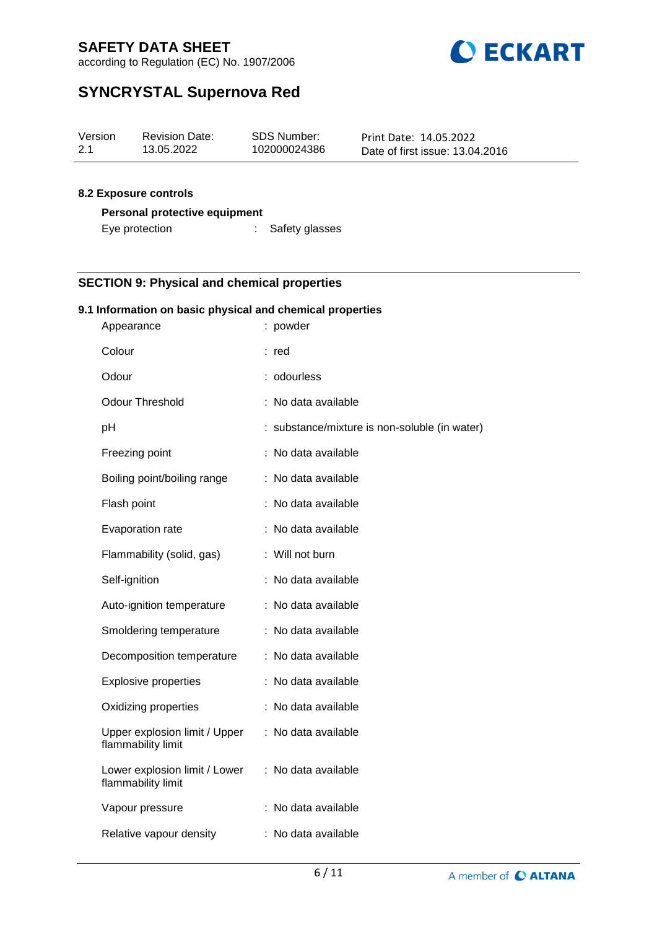

according to Regulation (EC) No. 1907/2006

## **SYNCRYSTAL Supernova Red**

| Version | <b>Revision Date:</b> | SDS Number:  | Print Date: 14.05.2022          |
|---------|-----------------------|--------------|---------------------------------|
| 2.1     | 13.05.2022            | 102000024386 | Date of first issue: 13.04.2016 |

### **8.2 Exposure controls**

### **Personal protective equipment**

| Eye protection | Safety glasses |
|----------------|----------------|
|----------------|----------------|

### **SECTION 9: Physical and chemical properties**

### **9.1 Information on basic physical and chemical properties**

| Appearance                                          | : powder                                      |
|-----------------------------------------------------|-----------------------------------------------|
| Colour                                              | : red                                         |
| Odour                                               | : odourless                                   |
| <b>Odour Threshold</b>                              | : No data available                           |
| рH                                                  | : substance/mixture is non-soluble (in water) |
| Freezing point                                      | : No data available                           |
| Boiling point/boiling range                         | : No data available                           |
| Flash point                                         | : No data available                           |
| Evaporation rate                                    | : No data available                           |
| Flammability (solid, gas)                           | : Will not burn                               |
| Self-ignition                                       | : No data available                           |
| Auto-ignition temperature                           | : No data available                           |
| Smoldering temperature                              | : No data available                           |
| Decomposition temperature                           | : No data available                           |
| <b>Explosive properties</b>                         | : No data available                           |
| Oxidizing properties                                | : No data available                           |
| Upper explosion limit / Upper<br>flammability limit | : No data available                           |
| Lower explosion limit / Lower<br>flammability limit | : No data available                           |
| Vapour pressure                                     | : No data available                           |
| Relative vapour density                             | : No data available                           |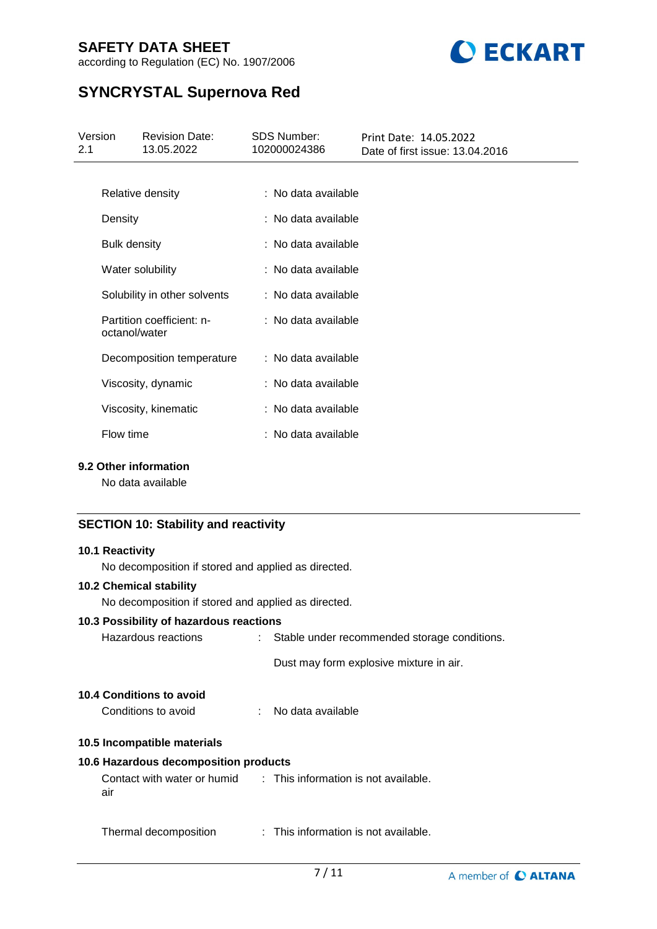



## **SYNCRYSTAL Supernova Red**

| 13.05.2022<br>102000024386<br>2.1<br>Date of first issue: 13.04.2016 |  |
|----------------------------------------------------------------------|--|
|                                                                      |  |
| : No data available<br>Relative density                              |  |
| : No data available<br>Density                                       |  |
| : No data available<br><b>Bulk density</b>                           |  |
| : No data available<br>Water solubility                              |  |
| Solubility in other solvents<br>: No data available                  |  |
| Partition coefficient: n-<br>: No data available<br>octanol/water    |  |
| : No data available<br>Decomposition temperature                     |  |
| : No data available<br>Viscosity, dynamic                            |  |
| Viscosity, kinematic<br>: No data available                          |  |
| Flow time<br>: No data available                                     |  |

### **9.2 Other information**

No data available

### **SECTION 10: Stability and reactivity**

| <b>10.1 Reactivity</b>                                                  |                                                |
|-------------------------------------------------------------------------|------------------------------------------------|
| No decomposition if stored and applied as directed.                     |                                                |
| <b>10.2 Chemical stability</b>                                          |                                                |
| No decomposition if stored and applied as directed.                     |                                                |
| 10.3 Possibility of hazardous reactions                                 |                                                |
| Hazardous reactions                                                     | : Stable under recommended storage conditions. |
|                                                                         | Dust may form explosive mixture in air.        |
| 10.4 Conditions to avoid                                                |                                                |
| Conditions to avoid                                                     | : No data available                            |
| 10.5 Incompatible materials                                             |                                                |
| 10.6 Hazardous decomposition products                                   |                                                |
| Contact with water or humid : This information is not available.<br>air |                                                |
| Thermal decomposition                                                   | : This information is not available.           |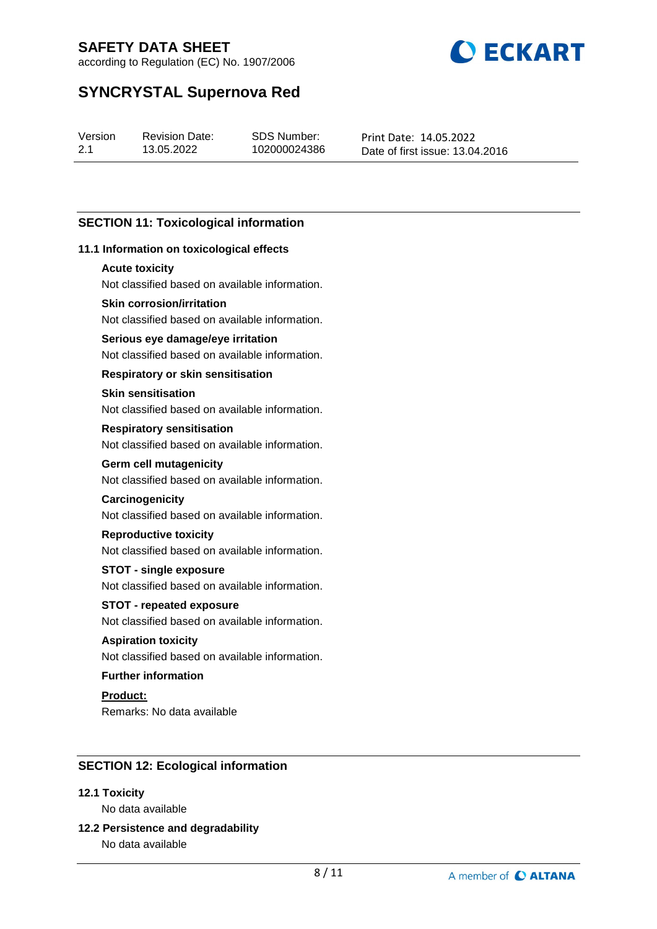

according to Regulation (EC) No. 1907/2006

## **SYNCRYSTAL Supernova Red**

| Version | Revis |
|---------|-------|
| 2.1     | 13.0  |

sion Date: 5.2022

SDS Number: 102000024386 Print Date: 14.05.2022 Date of first issue: 13.04.2016

### **SECTION 11: Toxicological information**

### **11.1 Information on toxicological effects**

### **Acute toxicity**

Not classified based on available information.

### **Skin corrosion/irritation**

Not classified based on available information.

### **Serious eye damage/eye irritation**

Not classified based on available information.

### **Respiratory or skin sensitisation**

### **Skin sensitisation**

Not classified based on available information.

#### **Respiratory sensitisation**

Not classified based on available information.

### **Germ cell mutagenicity**

Not classified based on available information.

### **Carcinogenicity**

Not classified based on available information.

#### **Reproductive toxicity**

Not classified based on available information.

### **STOT - single exposure**

Not classified based on available information.

### **STOT - repeated exposure**

Not classified based on available information.

### **Aspiration toxicity**

Not classified based on available information.

### **Further information**

## **Product:**

Remarks: No data available

### **SECTION 12: Ecological information**

### **12.1 Toxicity**

No data available

## **12.2 Persistence and degradability**

No data available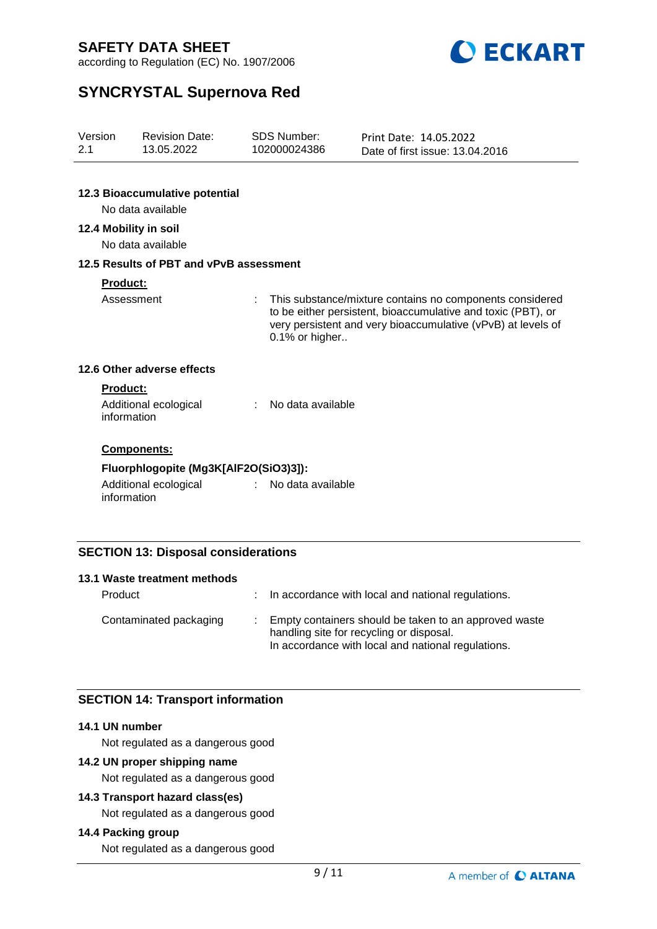

according to Regulation (EC) No. 1907/2006

## **SYNCRYSTAL Supernova Red**

| Version<br>2.1                        | <b>Revision Date:</b><br>13.05.2022                 |                     | <b>SDS Number:</b><br>102000024386                                                                                                                                                                         | Print Date: 14.05.2022<br>Date of first issue: 13.04.2016 |  |
|---------------------------------------|-----------------------------------------------------|---------------------|------------------------------------------------------------------------------------------------------------------------------------------------------------------------------------------------------------|-----------------------------------------------------------|--|
|                                       | 12.3 Bioaccumulative potential<br>No data available |                     |                                                                                                                                                                                                            |                                                           |  |
|                                       | 12.4 Mobility in soil<br>No data available          |                     |                                                                                                                                                                                                            |                                                           |  |
|                                       | 12.5 Results of PBT and vPvB assessment             |                     |                                                                                                                                                                                                            |                                                           |  |
| <b>Product:</b><br>Assessment         |                                                     | ÷                   | This substance/mixture contains no components considered<br>to be either persistent, bioaccumulative and toxic (PBT), or<br>very persistent and very bioaccumulative (vPvB) at levels of<br>0.1% or higher |                                                           |  |
|                                       | 12.6 Other adverse effects                          |                     |                                                                                                                                                                                                            |                                                           |  |
|                                       | Product:<br>Additional ecological<br>information    | ÷.                  | No data available                                                                                                                                                                                          |                                                           |  |
|                                       | Components:                                         |                     |                                                                                                                                                                                                            |                                                           |  |
| Fluorphlogopite (Mg3K[AlF2O(SiO3)3]): |                                                     |                     |                                                                                                                                                                                                            |                                                           |  |
|                                       | Additional ecological<br>information                | $\mathcal{L}^{(1)}$ | No data available                                                                                                                                                                                          |                                                           |  |
|                                       |                                                     |                     |                                                                                                                                                                                                            |                                                           |  |

### **SECTION 13: Disposal considerations**

| 13.1 Waste treatment methods |                                                                                                                                                         |
|------------------------------|---------------------------------------------------------------------------------------------------------------------------------------------------------|
| Product                      | : In accordance with local and national regulations.                                                                                                    |
| Contaminated packaging       | Empty containers should be taken to an approved waste<br>handling site for recycling or disposal.<br>In accordance with local and national regulations. |

### **SECTION 14: Transport information**

### **14.1 UN number**

Not regulated as a dangerous good

### **14.2 UN proper shipping name**

Not regulated as a dangerous good

### **14.3 Transport hazard class(es)**

Not regulated as a dangerous good

### **14.4 Packing group**

Not regulated as a dangerous good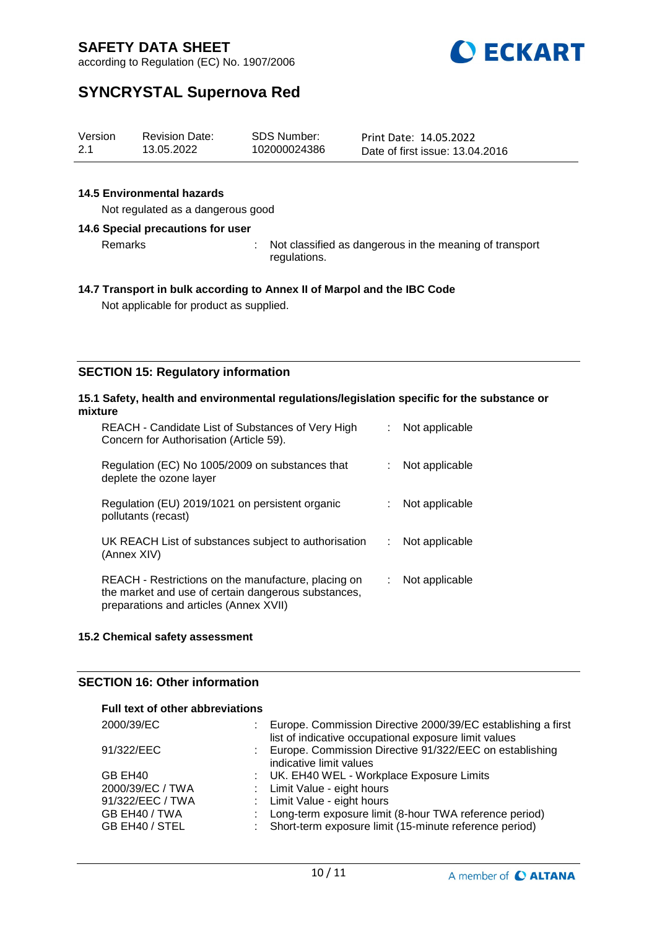

according to Regulation (EC) No. 1907/2006

## **SYNCRYSTAL Supernova Red**

| Version | <b>Revision Date:</b> | SDS Number:  | Print Date: 14.05.2022          |
|---------|-----------------------|--------------|---------------------------------|
| 2.1     | 13.05.2022            | 102000024386 | Date of first issue: 13.04.2016 |

### **14.5 Environmental hazards**

Not regulated as a dangerous good

### **14.6 Special precautions for user**

Remarks : Not classified as dangerous in the meaning of transport regulations.

#### **14.7 Transport in bulk according to Annex II of Marpol and the IBC Code**

Not applicable for product as supplied.

### **SECTION 15: Regulatory information**

#### **15.1 Safety, health and environmental regulations/legislation specific for the substance or mixture**

| REACH - Candidate List of Substances of Very High<br>Concern for Authorisation (Article 59).                                                         |                | Not applicable |
|------------------------------------------------------------------------------------------------------------------------------------------------------|----------------|----------------|
| Regulation (EC) No 1005/2009 on substances that<br>deplete the ozone layer                                                                           |                | Not applicable |
| Regulation (EU) 2019/1021 on persistent organic<br>pollutants (recast)                                                                               |                | Not applicable |
| UK REACH List of substances subject to authorisation<br>(Annex XIV)                                                                                  | $\mathbb{R}^n$ | Not applicable |
| REACH - Restrictions on the manufacture, placing on<br>the market and use of certain dangerous substances,<br>preparations and articles (Annex XVII) |                | Not applicable |

### **15.2 Chemical safety assessment**

### **SECTION 16: Other information**

### **Full text of other abbreviations**

| 2000/39/EC       | : Europe. Commission Directive 2000/39/EC establishing a first<br>list of indicative occupational exposure limit values |
|------------------|-------------------------------------------------------------------------------------------------------------------------|
| 91/322/EEC       | : Europe. Commission Directive 91/322/EEC on establishing<br>indicative limit values                                    |
| GB EH40          | : UK. EH40 WEL - Workplace Exposure Limits                                                                              |
| 2000/39/EC / TWA | : Limit Value - eight hours                                                                                             |
| 91/322/EEC / TWA | : Limit Value - eight hours                                                                                             |
| GB EH40 / TWA    | : Long-term exposure limit (8-hour TWA reference period)                                                                |
| GB EH40 / STEL   | : Short-term exposure limit (15-minute reference period)                                                                |